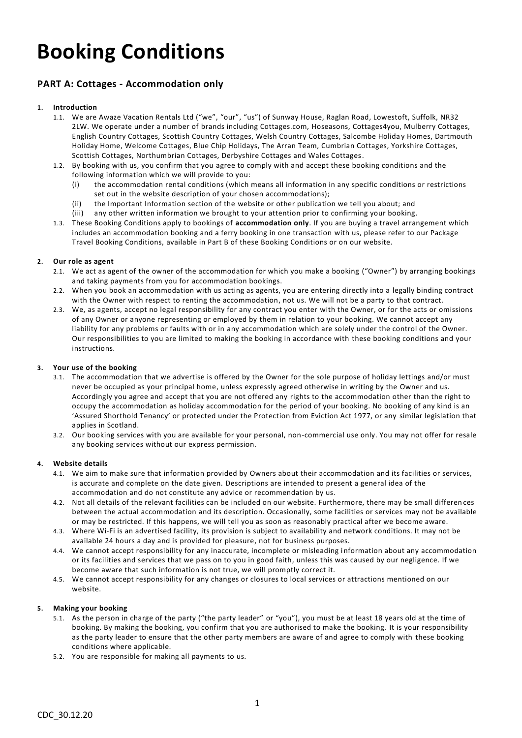# **Booking Conditions**

## **PART A: Cottages - Accommodation only**

## **1. Introduction**

- 1.1. We are Awaze Vacation Rentals Ltd ("we", "our", "us") of Sunway House, Raglan Road, Lowestoft, Suffolk, NR32 2LW. We operate under a number of brands including Cottages.com, Hoseasons, Cottages4you, Mulberry Cottages, English Country Cottages, Scottish Country Cottages, Welsh Country Cottages, Salcombe Holida y Homes, Dartmouth Holiday Home, Welcome Cottages, Blue Chip Holidays, The Arran Team, Cumbrian Cottages, Yorkshire Cottages, Scottish Cottages, Northumbrian Cottages, Derbyshire Cottages and Wales Cottages.
- 1.2. By booking with us, you confirm that you agree to comply with and accept these booking conditions and the following information which we will provide to you:
	- (i) the accommodation rental conditions (which means all information in any specific conditions or restrictions set out in the website description of your chosen accommodations);
	- (ii) the Important Information section of the website or other publication we tell you about; and
	- (iii) any other written information we brought to your attention prior to confirming your booking.
- 1.3. These Booking Conditions apply to bookings of **accommodation only**. If you are buying a travel arrangement which includes an accommodation booking and a ferry booking in one transaction with us, please refer to our Package Travel Booking Conditions, available in Part B of these Booking Conditions or on our website.

## **2. Our role as agent**

- 2.1. We act as agent of the owner of the accommodation for which you make a booking ("Owner") by arranging bookings and taking payments from you for accommodation bookings.
- 2.2. When you book an accommodation with us acting as agents, you are entering directly into a legally binding contract with the Owner with respect to renting the accommodation, not us. We will not be a party to that contract.
- 2.3. We, as agents, accept no legal responsibility for any contract you enter with the Owner, or for the acts or omissions of any Owner or anyone representing or employed by them in relation to your booking. We cannot accept any liability for any problems or faults with or in any accommodation which are solely under the control of the Owner. Our responsibilities to you are limited to making the booking in accordance with these booking conditions and your instructions.

## **3. Your use of the booking**

- 3.1. The accommodation that we advertise is offered by the Owner for the sole purpose of holiday lettings and/or must never be occupied as your principal home, unless expressly agreed otherwise in writing by the Owner and us. Accordingly you agree and accept that you are not offered any rights to the accommodation other than the right to occupy the accommodation as holiday accommodation for the period of your booking. No booking of any kind is an 'Assured Shorthold Tenancy' or protected under the Protection from Eviction Act 1977, or any similar legislation that applies in Scotland.
- 3.2. Our booking services with you are available for your personal, non-commercial use only. You may not offer for resale any booking services without our express permission.

## **4. Website details**

- 4.1. We aim to make sure that information provided by Owners about their accommodation and its facilities or services, is accurate and complete on the date given. Descriptions are intended to present a general idea of the accommodation and do not constitute any advice or recommendation by us.
- 4.2. Not all details of the relevant facilities can be included on our website. Furthermore, there may be small differen ces between the actual accommodation and its description. Occasionally, some facilities or services may not be available or may be restricted. If this happens, we will tell you as soon as reasonably practical after we become aware.
- 4.3. Where Wi-Fi is an advertised facility, its provision is subject to availability and network conditions. It may not be available 24 hours a day and is provided for pleasure, not for business purposes.
- 4.4. We cannot accept responsibility for any inaccurate, incomplete or misleading information about any accommodation or its facilities and services that we pass on to you in good faith, unless this was caused by our negligence. If we become aware that such information is not true, we will promptly correct it.
- 4.5. We cannot accept responsibility for any changes or closures to local services or attractions mentioned on our website.

## **5. Making your booking**

- 5.1. As the person in charge of the party ("the party leader" or "you"), you must be at least 18 years old at the time of booking. By making the booking, you confirm that you are authorised to make the booking. It is your responsibility as the party leader to ensure that the other party members are aware of and agree to comply with these booking conditions where applicable.
- 5.2. You are responsible for making all payments to us.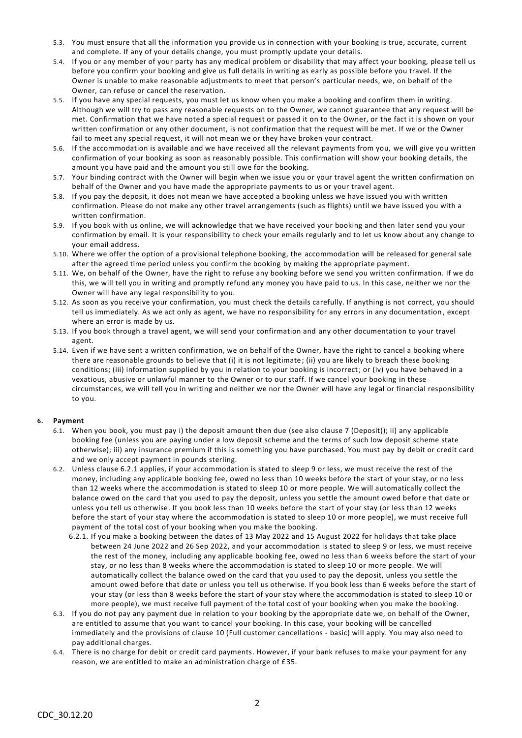- 5.3. You must ensure that all the information you provide us in connection with your booking is true, accurate, current and complete. If any of your details change, you must promptly update your details.
- 5.4. If you or any member of your party has any medical problem or disability that may affect your booking, please tell us before you confirm your booking and give us full details in writing as early as possible before you travel. If the Owner is unable to make reasonable adjustments to meet that person's particular needs, we, on behalf of the Owner, can refuse or cancel the reservation.
- 5.5. If you have any special requests, you must let us know when you make a booking and confirm them in writing. Although we will try to pass any reasonable requests on to the Owner, we cannot guarantee that any request will be met. Confirmation that we have noted a special request or passed it on to the Owner, or the fact it is shown on your written confirmation or any other document, is not confirmation that the request will be met. If we or the Owner fail to meet any special request, it will not mean we or they have broken your contract.
- 5.6. If the accommodation is available and we have received all the relevant payments from you, we will give you written confirmation of your booking as soon as reasonably possible. This confirmation will show your booking details, the amount you have paid and the amount you still owe for the booking.
- 5.7. Your binding contract with the Owner will begin when we issue you or your travel agent the written confirmation on behalf of the Owner and you have made the appropriate payments to us or your travel agent.
- 5.8. If you pay the deposit, it does not mean we have accepted a booking unless we have issued you with written confirmation. Please do not make any other travel arrangements (such as flights) until we have issued you with a written confirmation.
- 5.9. If you book with us online, we will acknowledge that we have received your booking and then later send you your confirmation by email. It is your responsibility to check your emails regularly and to let us know about any change to your email address.
- 5.10. Where we offer the option of a provisional telephone booking, the accommodation will be released for general sale after the agreed time period unless you confirm the booking by making the appropriate payment.
- 5.11. We, on behalf of the Owner, have the right to refuse any booking before we send you written confirmation. If we do this, we will tell you in writing and promptly refund any money you have paid to us. In this case, neither we nor the Owner will have any legal responsibility to you.
- 5.12. As soon as you receive your confirmation, you must check the details carefully. If anything is not correct, you should tell us immediately. As we act only as agent, we have no responsibility for any errors in any documentation , except where an error is made by us.
- 5.13. If you book through a travel agent, we will send your confirmation and any other documentation to your travel agent.
- 5.14. Even if we have sent a written confirmation, we on behalf of the Owner, have the right to cancel a booking where there are reasonable grounds to believe that (i) it is not legitimate; (ii) you are likely to breach these booking conditions; (iii) information supplied by you in relation to your booking is incorrect; or (iv) you have behaved in a vexatious, abusive or unlawful manner to the Owner or to our staff. If we cancel your booking in these circumstances, we will tell you in writing and neither we nor the Owner will have any legal or financial responsibility to you.

## **6. Payment**

- 6.1. When you book, you must pay i) the deposit amount then due (see also clause 7 (Deposit)); ii) any applicable booking fee (unless you are paying under a low deposit scheme and the terms of such low deposit scheme state otherwise); iii) any insurance premium if this is something you have purchased. You must pay by debit or credit card and we only accept payment in pounds sterling.
- 6.2. Unless clause 6.2.1 applies, if your accommodation is stated to sleep 9 or less, we must receive the rest of the money, including any applicable booking fee, owed no less than 10 weeks before the start of your stay, or no less than 12 weeks where the accommodation is stated to sleep 10 or more people. We will automatically collect the balance owed on the card that you used to pay the deposit, unless you settle the amount owed befor e that date or unless you tell us otherwise. If you book less than 10 weeks before the start of your stay (or less than 12 weeks before the start of your stay where the accommodation is stated to sleep 10 or more people), we must receive full payment of the total cost of your booking when you make the booking.
	- 6.2.1. If you make a booking between the dates of 13 May 2022 and 15 August 2022 for holidays that take place between 24 June 2022 and 26 Sep 2022, and your accommodation is stated to sleep 9 or less, we must receive the rest of the money, including any applicable booking fee, owed no less than 6 weeks before the start of your stay, or no less than 8 weeks where the accommodation is stated to sleep 10 or more people. We will automatically collect the balance owed on the card that you used to pay the deposit, unless you settle the amount owed before that date or unless you tell us otherwise. If you book less than 6 weeks before the start of your stay (or less than 8 weeks before the start of your stay where the accommodation is stated to sleep 10 or more people), we must receive full payment of the total cost of your booking when you make the booking.
- 6.3. If you do not pay any payment due in relation to your booking by the appropriate date we, on behalf of the Owner, are entitled to assume that you want to cancel your booking. In this case, your booking will be cancelled immediately and the provisions of clause 10 (Full customer cancellations - basic) will apply. You may also need to pay additional charges.
- 6.4. There is no charge for debit or credit card payments. However, if your bank refuses to make your payment for any reason, we are entitled to make an administration charge of £35.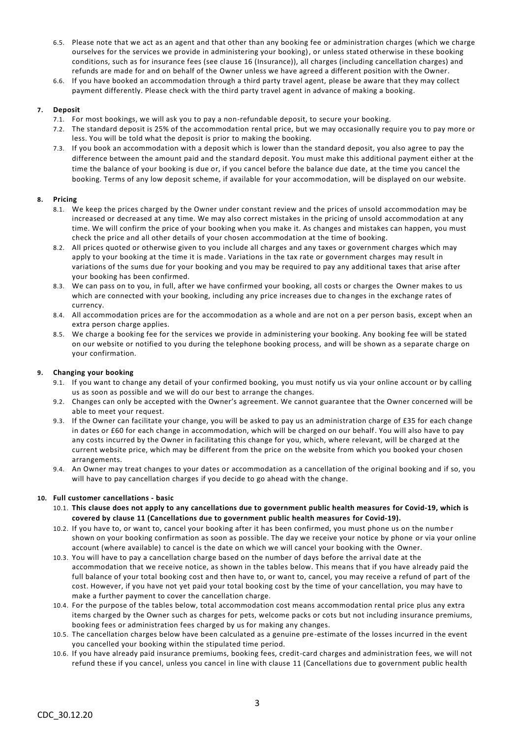- 6.5. Please note that we act as an agent and that other than any booking fee or administration charges (which we charge ourselves for the services we provide in administering your booking), or unless stated otherwise in these booking conditions, such as for insurance fees (see clause 16 (Insurance)), all charges (including cancellation charges) and refunds are made for and on behalf of the Owner unless we have agreed a different position with the Owner.
- 6.6. If you have booked an accommodation through a third party travel agent, please be aware that they may collect payment differently. Please check with the third party travel agent in advance of making a booking.

## **7. Deposit**

- 7.1. For most bookings, we will ask you to pay a non-refundable deposit, to secure your booking.
- 7.2. The standard deposit is 25% of the accommodation rental price, but we may occasionally require you to pay more or less. You will be told what the deposit is prior to making the booking.
- 7.3. If you book an accommodation with a deposit which is lower than the standard deposit, you also agree to pay the difference between the amount paid and the standard deposit. You must make this additional payment either at the time the balance of your booking is due or, if you cancel before the balance due date, at the time you cancel the booking. Terms of any low deposit scheme, if available for your accommodation, will be displayed on our website.

## **8. Pricing**

- 8.1. We keep the prices charged by the Owner under constant review and the prices of unsold accommodation may be increased or decreased at any time. We may also correct mistakes in the pricing of unsold accommodation at any time. We will confirm the price of your booking when you make it. As changes and mistakes can happen, you must check the price and all other details of your chosen accommodation at the time of booking.
- 8.2. All prices quoted or otherwise given to you include all charges and any taxes or government charges which may apply to your booking at the time it is made. Variations in the tax rate or government charges may result in variations of the sums due for your booking and you may be required to pay any additional taxes that arise after your booking has been confirmed.
- 8.3. We can pass on to you, in full, after we have confirmed your booking, all costs or charges the Owner makes to us which are connected with your booking, including any price increases due to changes in the exchange rates of currency.
- 8.4. All accommodation prices are for the accommodation as a whole and are not on a per person basis, except when an extra person charge applies.
- 8.5. We charge a booking fee for the services we provide in administering your booking. Any booking fee will be stated on our website or notified to you during the telephone booking process, and will be shown as a separate charge on your confirmation.

## **9. Changing your booking**

- 9.1. If you want to change any detail of your confirmed booking, you must notify us via your online account or by calling us as soon as possible and we will do our best to arrange the changes.
- 9.2. Changes can only be accepted with the Owner's agreement. We cannot guarantee that the Owner concerned will be able to meet your request.
- 9.3. If the Owner can facilitate your change, you will be asked to pay us an administration charge of £35 for each change in dates or £60 for each change in accommodation, which will be charged on our behalf. You will also have to pay any costs incurred by the Owner in facilitating this change for you, which, where relevant, will be charged at the current website price, which may be different from the price on the website from which you booked your chosen arrangements.
- 9.4. An Owner may treat changes to your dates or accommodation as a cancellation of the original booking and if so, you will have to pay cancellation charges if you decide to go ahead with the change.

## **10. Full customer cancellations - basic**

- 10.1. **This clause does not apply to any cancellations due to government public health measures for Covid-19, which is covered by clause 11 (Cancellations due to government public health measures for Covid-19).**
- 10.2. If you have to, or want to, cancel your booking after it has been confirmed, you must phone us on the numbe r shown on your booking confirmation as soon as possible. The day we receive your notice by phone or via your online account (where available) to cancel is the date on which we will cancel your booking with the Owner.
- 10.3. You will have to pay a cancellation charge based on the number of days before the arrival date at the accommodation that we receive notice, as shown in the tables below. This means that if you have already paid the full balance of your total booking cost and then have to, or want to, cancel, you may receive a refund of part of the cost. However, if you have not yet paid your total booking cost by the time of your cancellation, you may have to make a further payment to cover the cancellation charge.
- 10.4. For the purpose of the tables below, total accommodation cost means accommodation rental price plus any extra items charged by the Owner such as charges for pets, welcome packs or cots but not including insurance premiums, booking fees or administration fees charged by us for making any changes.
- 10.5. The cancellation charges below have been calculated as a genuine pre-estimate of the losses incurred in the event you cancelled your booking within the stipulated time period.
- 10.6. If you have already paid insurance premiums, booking fees, credit-card charges and administration fees, we will not refund these if you cancel, unless you cancel in line with clause 11 (Cancellations due to government public health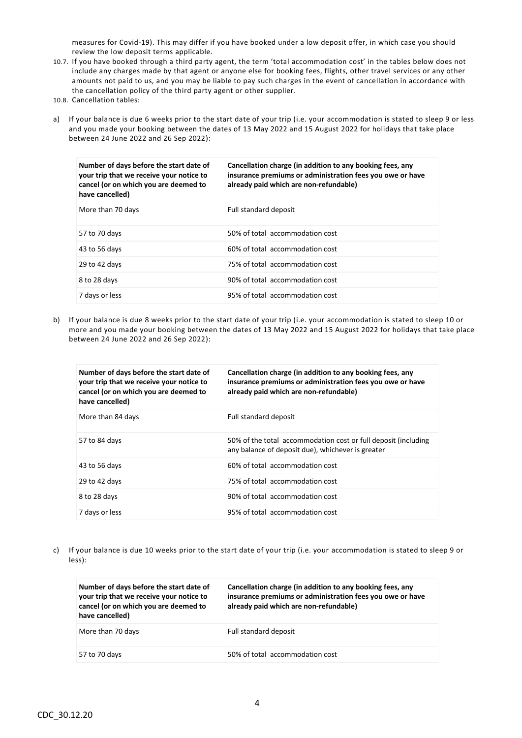measures for Covid-19). This may differ if you have booked under a low deposit offer, in which case you should review the low deposit terms applicable.

- 10.7. If you have booked through a third party agent, the term 'total accommodation cost' in the tables below does not include any charges made by that agent or anyone else for booking fees, flights, other travel services or any other amounts not paid to us, and you may be liable to pay such charges in the event of cancellation in accordance with the cancellation policy of the third party agent or other supplier.
- 10.8. Cancellation tables:
- a) If your balance is due 6 weeks prior to the start date of your trip (i.e. your accommodation is stated to sleep 9 or less and you made your booking between the dates of 13 May 2022 and 15 August 2022 for holidays that take place between 24 June 2022 and 26 Sep 2022):

| Number of days before the start date of<br>your trip that we receive your notice to<br>cancel (or on which you are deemed to<br>have cancelled) | Cancellation charge (in addition to any booking fees, any<br>insurance premiums or administration fees you owe or have<br>already paid which are non-refundable) |
|-------------------------------------------------------------------------------------------------------------------------------------------------|------------------------------------------------------------------------------------------------------------------------------------------------------------------|
| More than 70 days                                                                                                                               | Full standard deposit                                                                                                                                            |
| 57 to 70 days                                                                                                                                   | 50% of total accommodation cost                                                                                                                                  |
| 43 to 56 days                                                                                                                                   | 60% of total accommodation cost                                                                                                                                  |
| 29 to 42 days                                                                                                                                   | 75% of total accommodation cost                                                                                                                                  |
| 8 to 28 days                                                                                                                                    | 90% of total accommodation cost                                                                                                                                  |
| 7 days or less                                                                                                                                  | 95% of total accommodation cost                                                                                                                                  |

b) If your balance is due 8 weeks prior to the start date of your trip (i.e. your accommodation is stated to sleep 10 or more and you made your booking between the dates of 13 May 2022 and 15 August 2022 for holidays that take place between 24 June 2022 and 26 Sep 2022):

| Number of days before the start date of<br>your trip that we receive your notice to<br>cancel (or on which you are deemed to<br>have cancelled) | Cancellation charge (in addition to any booking fees, any<br>insurance premiums or administration fees you owe or have<br>already paid which are non-refundable) |
|-------------------------------------------------------------------------------------------------------------------------------------------------|------------------------------------------------------------------------------------------------------------------------------------------------------------------|
| More than 84 days                                                                                                                               | Full standard deposit                                                                                                                                            |
| 57 to 84 days                                                                                                                                   | 50% of the total accommodation cost or full deposit (including<br>any balance of deposit due), whichever is greater                                              |
| 43 to 56 days                                                                                                                                   | 60% of total accommodation cost                                                                                                                                  |
| 29 to 42 days                                                                                                                                   | 75% of total accommodation cost                                                                                                                                  |
| 8 to 28 days                                                                                                                                    | 90% of total accommodation cost                                                                                                                                  |
| 7 days or less                                                                                                                                  | 95% of total accommodation cost                                                                                                                                  |

c) If your balance is due 10 weeks prior to the start date of your trip (i.e. your accommodation is stated to sleep 9 or less):

| Number of days before the start date of<br>your trip that we receive your notice to<br>cancel (or on which you are deemed to<br>have cancelled) | Cancellation charge (in addition to any booking fees, any<br>insurance premiums or administration fees you owe or have<br>already paid which are non-refundable) |
|-------------------------------------------------------------------------------------------------------------------------------------------------|------------------------------------------------------------------------------------------------------------------------------------------------------------------|
| More than 70 days                                                                                                                               | Full standard deposit                                                                                                                                            |
| 57 to 70 days                                                                                                                                   | 50% of total accommodation cost                                                                                                                                  |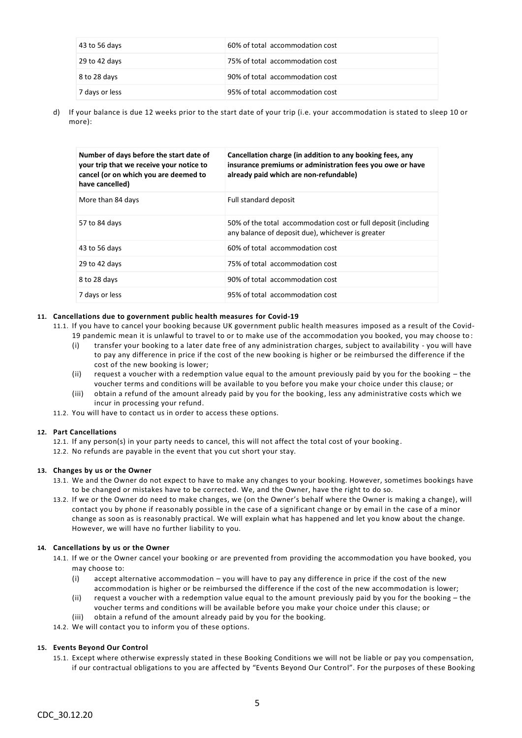| 43 to 56 days  | 60% of total accommodation cost |
|----------------|---------------------------------|
| 29 to 42 days  | 75% of total accommodation cost |
| 8 to 28 days   | 90% of total accommodation cost |
| 7 days or less | 95% of total accommodation cost |

d) If your balance is due 12 weeks prior to the start date of your trip (i.e. your accommodation is stated to sleep 10 or more):

| Number of days before the start date of<br>your trip that we receive your notice to<br>cancel (or on which you are deemed to<br>have cancelled) | Cancellation charge (in addition to any booking fees, any<br>insurance premiums or administration fees you owe or have<br>already paid which are non-refundable) |
|-------------------------------------------------------------------------------------------------------------------------------------------------|------------------------------------------------------------------------------------------------------------------------------------------------------------------|
| More than 84 days                                                                                                                               | Full standard deposit                                                                                                                                            |
| 57 to 84 days                                                                                                                                   | 50% of the total accommodation cost or full deposit (including<br>any balance of deposit due), whichever is greater                                              |
| 43 to 56 days                                                                                                                                   | 60% of total accommodation cost                                                                                                                                  |
| 29 to 42 days                                                                                                                                   | 75% of total accommodation cost                                                                                                                                  |
| 8 to 28 days                                                                                                                                    | 90% of total accommodation cost                                                                                                                                  |
| 7 days or less                                                                                                                                  | 95% of total accommodation cost                                                                                                                                  |

#### **11. Cancellations due to government public health measures for Covid-19**

- 11.1. If you have to cancel your booking because UK government public health measures imposed as a result of the Covid-
	- 19 pandemic mean it is unlawful to travel to or to make use of the accommodation you booked, you may choose to :
	- (i) transfer your booking to a later date free of any administration charges, subject to availability you will have to pay any difference in price if the cost of the new booking is higher or be reimbursed the difference if the cost of the new booking is lower;
	- (ii) request a voucher with a redemption value equal to the amount previously paid by you for the booking the voucher terms and conditions will be available to you before you make your choice under this clause; or
	- (iii) obtain a refund of the amount already paid by you for the booking, less any administrative costs which we incur in processing your refund.
- 11.2. You will have to contact us in order to access these options.

## **12. Part Cancellations**

- 12.1. If any person(s) in your party needs to cancel, this will not affect the total cost of your booking .
- 12.2. No refunds are payable in the event that you cut short your stay.

## **13. Changes by us or the Owner**

- 13.1. We and the Owner do not expect to have to make any changes to your booking. However, sometimes bookings have to be changed or mistakes have to be corrected. We, and the Owner, have the right to do so.
- 13.2. If we or the Owner do need to make changes, we (on the Owner's behalf where the Owner is making a change), will contact you by phone if reasonably possible in the case of a significant change or by email in the case of a minor change as soon as is reasonably practical. We will explain what has happened and let you know about the change. However, we will have no further liability to you.

## **14. Cancellations by us or the Owner**

- 14.1. If we or the Owner cancel your booking or are prevented from providing the accommodation you have booked, you may choose to:
	- (i) accept alternative accommodation you will have to pay any difference in price if the cost of the new accommodation is higher or be reimbursed the difference if the cost of the new accommodation is lower;
	- (ii) request a voucher with a redemption value equal to the amount previously paid by you for the booking the voucher terms and conditions will be available before you make your choice under this clause; or
	- (iii) obtain a refund of the amount already paid by you for the booking.
- 14.2. We will contact you to inform you of these options.

## **15. Events Beyond Our Control**

15.1. Except where otherwise expressly stated in these Booking Conditions we will not be liable or pay you compensation, if our contractual obligations to you are affected by "Events Beyond Our Control". For the purposes of these Booking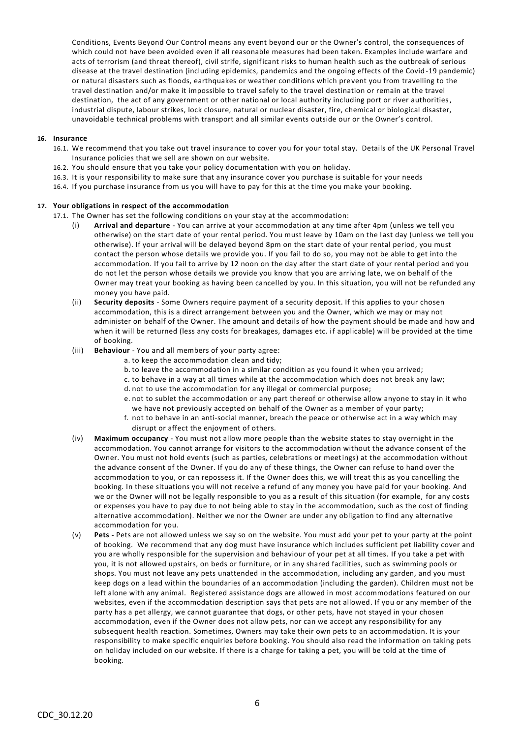Conditions, Events Beyond Our Control means any event beyond our or the Owner's control, the consequences of which could not have been avoided even if all reasonable measures had been taken. Examples include warfare and acts of terrorism (and threat thereof), civil strife, significant risks to human health such as the outbreak of serious disease at the travel destination (including epidemics, pandemics and the ongoing effects of the Covid -19 pandemic) or natural disasters such as floods, earthquakes or weather conditions which prevent you from travelling to the travel destination and/or make it impossible to travel safely to the travel destination or remain at the travel destination, the act of any government or other national or local authority including port or river authorities, industrial dispute, labour strikes, lock closure, natural or nuclear disaster, fire, chemical or biological disaster, unavoidable technical problems with transport and all similar events outside our or the Owner's control.

## **16. Insurance**

- 16.1. We recommend that you take out travel insurance to cover you for your total stay. Details of the UK Personal Travel Insurance policies that we sell are shown on our website.
- 16.2. You should ensure that you take your policy documentation with you on holiday.
- 16.3. It is your responsibility to make sure that any insurance cover you purchase is suitable for your needs
- 16.4. If you purchase insurance from us you will have to pay for this at the time you make your booking.

#### **17. Your obligations in respect of the accommodation**

- 17.1. The Owner has set the following conditions on your stay at the accommodation:
	- (i) **Arrival and departure** You can arrive at your accommodation at any time after 4pm (unless we tell you otherwise) on the start date of your rental period. You must leave by 10am on the last day (unless we tell you otherwise). If your arrival will be delayed beyond 8pm on the start date of your rental period, you must contact the person whose details we provide you. If you fail to do so, you may not be able to get into the accommodation. If you fail to arrive by 12 noon on the day after the start date of your rental period and you do not let the person whose details we provide you know that you are arriving late, we on behalf of the Owner may treat your booking as having been cancelled by you. In this situation, you will not be refunded any money you have paid.
	- (ii) **Security deposits** Some Owners require payment of a security deposit. If this applies to your chosen accommodation, this is a direct arrangement between you and the Owner, which we may or may not administer on behalf of the Owner. The amount and details of how the payment should be made and how and when it will be returned (less any costs for breakages, damages etc. if applicable) will be provided at the time of booking.
	- (iii) **Behaviour** You and all members of your party agree:
		- a. to keep the accommodation clean and tidy;
		- b. to leave the accommodation in a similar condition as you found it when you arrived;
		- c. to behave in a way at all times while at the accommodation which does not break any law;
		- d. not to use the accommodation for any illegal or commercial purpose;
		- e. not to sublet the accommodation or any part thereof or otherwise allow anyone to stay in it who we have not previously accepted on behalf of the Owner as a member of your party;
		- f. not to behave in an anti-social manner, breach the peace or otherwise act in a way which may disrupt or affect the enjoyment of others.
	- (iv) **Maximum occupancy** You must not allow more people than the website states to stay overnight in the accommodation. You cannot arrange for visitors to the accommodation without the advance consent of the Owner. You must not hold events (such as parties, celebrations or meetings) at the accommodation without the advance consent of the Owner. If you do any of these things, the Owner can refuse to hand over the accommodation to you, or can repossess it. If the Owner does this, we will treat this as you cancelling the booking. In these situations you will not receive a refund of any money you have paid for your booking. And we or the Owner will not be legally responsible to you as a result of this situation (for example, for any costs or expenses you have to pay due to not being able to stay in the accommodation, such as the cost of finding alternative accommodation). Neither we nor the Owner are under any obligation to find any alternative accommodation for you.
	- (v) **Pets -** Pets are not allowed unless we say so on the website. You must add your pet to your party at the point of booking. We recommend that any dog must have insurance which includes sufficient pet liability cover and you are wholly responsible for the supervision and behaviour of your pet at all times. If you take a pet with you, it is not allowed upstairs, on beds or furniture, or in any shared facilities, such as swimming pools or shops. You must not leave any pets unattended in the accommodation, including any garden, and you must keep dogs on a lead within the boundaries of an accommodation (including the garden). Children must not be left alone with any animal. Registered assistance dogs are allowed in most accommodations featured on our websites, even if the accommodation description says that pets are not allowed. If you or any member of the party has a pet allergy, we cannot guarantee that dogs, or other pets, have not stayed in your chosen accommodation, even if the Owner does not allow pets, nor can we accept any responsibility for any subsequent health reaction. Sometimes, Owners may take their own pets to an accommodation. It is your responsibility to make specific enquiries before booking. You should also read the information on taking pets on holiday included on our website. If there is a charge for taking a pet, you will be told at the time of booking.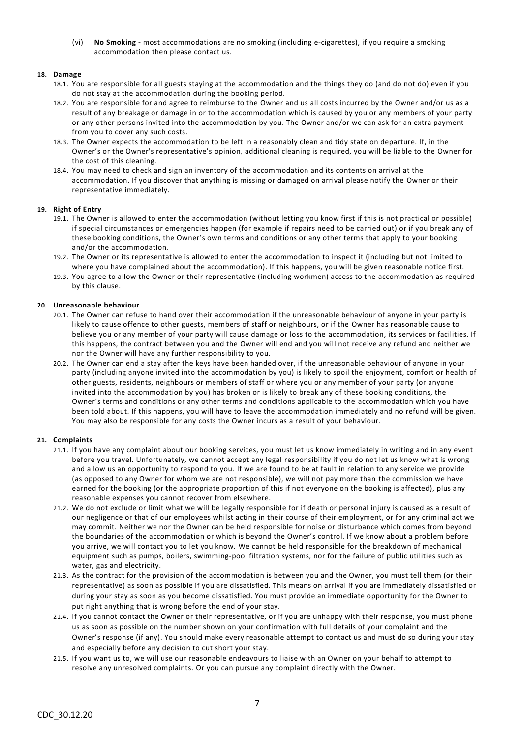(vi) **No Smoking -** most accommodations are no smoking (including e-cigarettes), if you require a smoking accommodation then please contact us.

## **18. Damage**

- 18.1. You are responsible for all guests staying at the accommodation and the things they do (and do not do) even if you do not stay at the accommodation during the booking period.
- 18.2. You are responsible for and agree to reimburse to the Owner and us all costs incurred by the Owner and/or us as a result of any breakage or damage in or to the accommodation which is caused by you or any members of your party or any other persons invited into the accommodation by you. The Owner and/or we can ask for an extra payment from you to cover any such costs.
- 18.3. The Owner expects the accommodation to be left in a reasonably clean and tidy state on departure. If, in the Owner's or the Owner's representative's opinion, additional cleaning is required, you will be liable to the Owner for the cost of this cleaning.
- 18.4. You may need to check and sign an inventory of the accommodation and its contents on arrival at the accommodation. If you discover that anything is missing or damaged on arrival please notify the Owner or their representative immediately.

## **19. Right of Entry**

- 19.1. The Owner is allowed to enter the accommodation (without letting you know first if this is not practical or possible) if special circumstances or emergencies happen (for example if repairs need to be carried out) or if you break any of these booking conditions, the Owner's own terms and conditions or any other terms that apply to your booking and/or the accommodation.
- 19.2. The Owner or its representative is allowed to enter the accommodation to inspect it (including but not limited to where you have complained about the accommodation). If this happens, you will be given reasonable notice first.
- 19.3. You agree to allow the Owner or their representative (including workmen) access to the accommodation as required by this clause.

## **20. Unreasonable behaviour**

- 20.1. The Owner can refuse to hand over their accommodation if the unreasonable behaviour of anyone in your party is likely to cause offence to other guests, members of staff or neighbours, or if the Owner has reasonable cause to believe you or any member of your party will cause damage or loss to the accommodation, its services or facilities. If this happens, the contract between you and the Owner will end and you will not receive any refund and neither we nor the Owner will have any further responsibility to you.
- 20.2. The Owner can end a stay after the keys have been handed over, if the unreasonable behaviour of anyone in your party (including anyone invited into the accommodation by you) is likely to spoil the enjoyment, comfort or health of other guests, residents, neighbours or members of staff or where you or any member of your party (or anyone invited into the accommodation by you) has broken or is likely to break any of these booking conditions, the Owner's terms and conditions or any other terms and conditions applicable to the accommodation which you have been told about. If this happens, you will have to leave the accommodation immediately and no refund will be given. You may also be responsible for any costs the Owner incurs as a result of your behaviour.

## **21. Complaints**

- 21.1. If you have any complaint about our booking services, you must let us know immediately in writing and in any event before you travel. Unfortunately, we cannot accept any legal responsibility if you do not let us know what is wrong and allow us an opportunity to respond to you. If we are found to be at fault in relation to any service we provide (as opposed to any Owner for whom we are not responsible), we will not pay more than the commission we have earned for the booking (or the appropriate proportion of this if not everyone on the booking is affected), plus any reasonable expenses you cannot recover from elsewhere.
- 21.2. We do not exclude or limit what we will be legally responsible for if death or personal injury is caused as a result of our negligence or that of our employees whilst acting in their course of their employment, or for any criminal act we may commit. Neither we nor the Owner can be held responsible for noise or disturbance which comes from beyond the boundaries of the accommodation or which is beyond the Owner's control. If we know about a problem before you arrive, we will contact you to let you know. We cannot be held responsible for the breakdown of mechanical equipment such as pumps, boilers, swimming-pool filtration systems, nor for the failure of public utilities such as water, gas and electricity.
- 21.3. As the contract for the provision of the accommodation is between you and the Owner, you must tell them (or their representative) as soon as possible if you are dissatisfied. This means on arrival if you are immediately dissatisfied or during your stay as soon as you become dissatisfied. You must provide an immediate opportunity for the Owner to put right anything that is wrong before the end of your stay.
- 21.4. If you cannot contact the Owner or their representative, or if you are unhappy with their respo nse, you must phone us as soon as possible on the number shown on your confirmation with full details of your complaint and the Owner's response (if any). You should make every reasonable attempt to contact us and must do so during your stay and especially before any decision to cut short your stay.
- 21.5. If you want us to, we will use our reasonable endeavours to liaise with an Owner on your behalf to attempt to resolve any unresolved complaints. Or you can pursue any complaint directly with the Owner.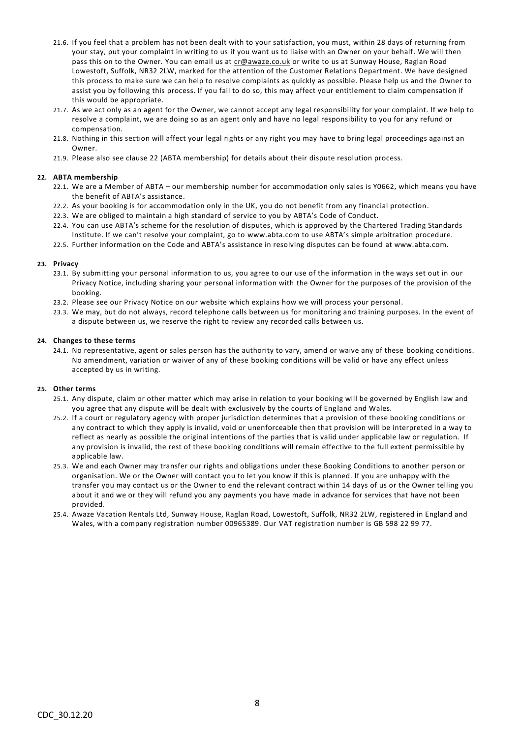- 21.6. If you feel that a problem has not been dealt with to your satisfaction, you must, within 28 days of returning from your stay, put your complaint in writing to us if you want us to liaise with an Owner on your behalf. We will then pass this on to the Owner. You can email us at [cr@awaze.co.uk](mailto:cr@awaze.co.uk) or write to us at Sunway House, Raglan Road Lowestoft, Suffolk, NR32 2LW, marked for the attention of the Customer Relations Department. We have designed this process to make sure we can help to resolve complaints as quickly as possible. Please help us and the Owner to assist you by following this process. If you fail to do so, this may affect your entitlement to claim compensation if this would be appropriate.
- 21.7. As we act only as an agent for the Owner, we cannot accept any legal responsibility for your complaint. If we help to resolve a complaint, we are doing so as an agent only and have no legal responsibility to you for any refund or compensation.
- 21.8. Nothing in this section will affect your legal rights or any right you may have to bring legal proceedings against an Owner.
- 21.9. Please also see clause 22 (ABTA membership) for details about their dispute resolution process.

## **22. ABTA membership**

- 22.1. We are a Member of ABTA our membership number for accommodation only sales is Y0662, which means you have the benefit of ABTA's assistance.
- 22.2. As your booking is for accommodation only in the UK, you do not benefit from any financial protection.
- 22.3. We are obliged to maintain a high standard of service to you by ABTA's Code of Conduct.
- 22.4. You can use ABTA's scheme for the resolution of disputes, which is approved by the Chartered Trading Standards Institute. If we can't resolve your complaint, go to [www.abta.com](http://www.abta.com/) to use ABTA's simple arbitration procedure.
- 22.5. Further information on the Code and ABTA's assistance in resolving disputes can be found a[t www.abta.com.](http://www.abta.com/)

## **23. Privacy**

- 23.1. By submitting your personal information to us, you agree to our use of the information in the ways set out in our Privacy Notice, including sharing your personal information with the Owner for the purposes of the provision of the booking.
- 23.2. Please see our Privacy Notice on our website which explains how we will process your personal.
- 23.3. We may, but do not always, record telephone calls between us for monitoring and training purposes. In the event of a dispute between us, we reserve the right to review any recorded calls between us.

## **24. Changes to these terms**

24.1. No representative, agent or sales person has the authority to vary, amend or waive any of these booking conditions. No amendment, variation or waiver of any of these booking conditions will be valid or have any effect unless accepted by us in writing.

## **25. Other terms**

- 25.1. Any dispute, claim or other matter which may arise in relation to your booking will be governed by English law and you agree that any dispute will be dealt with exclusively by the courts of England and Wales.
- 25.2. If a court or regulatory agency with proper jurisdiction determines that a provision of these booking conditions or any contract to which they apply is invalid, void or unenforceable then that provision will be interpreted in a way to reflect as nearly as possible the original intentions of the parties that is valid under applicable law or regulation. If any provision is invalid, the rest of these booking conditions will remain effective to the full extent permissible by applicable law.
- 25.3. We and each Owner may transfer our rights and obligations under these Booking Conditions to another person or organisation. We or the Owner will contact you to let you know if this is planned. If you are unhappy with the transfer you may contact us or the Owner to end the relevant contract within 14 days of us or the Owner telling you about it and we or they will refund you any payments you have made in advance for services that have not been provided.
- 25.4. Awaze Vacation Rentals Ltd, Sunway House, Raglan Road, Lowestoft, Suffolk, NR32 2LW, registered in England and Wales, with a company registration number 00965389. Our VAT registration number is GB 598 22 99 77.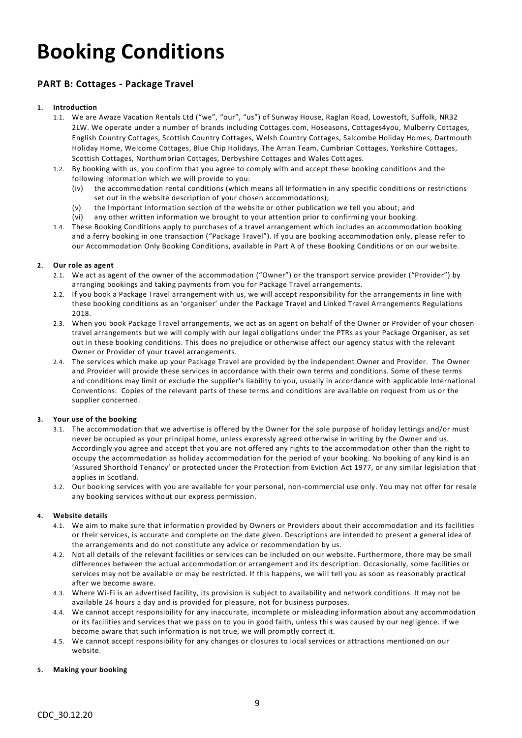# **Booking Conditions**

## **PART B: Cottages - Package Travel**

## **1. Introduction**

- 1.1. We are Awaze Vacation Rentals Ltd ("we", "our", "us") of Sunway House, Raglan Road, Lowestoft, Suffolk, NR32 2LW. We operate under a number of brands including Cottages.com, Hoseasons, Cottages4you, Mulberry Cottages, English Country Cottages, Scottish Country Cottages, Welsh Country Cottages, Salcombe Holiday Homes, Dartmouth Holiday Home, Welcome Cottages, Blue Chip Holidays, The Arran Team, Cumbrian Cottages, Yorkshire Cottages, Scottish Cottages, Northumbrian Cottages, Derbyshire Cottages and Wales Cottages.
- 1.2. By booking with us, you confirm that you agree to comply with and accept these booking conditions and the following information which we will provide to you:
	- (iv) the accommodation rental conditions (which means all information in any specific conditions or restrictions set out in the website description of your chosen accommodations);
	- (v) the Important Information section of the website or other publication we tell you about; and
	- (vi) any other written information we brought to your attention prior to confirming your booking.
- 1.4. These Booking Conditions apply to purchases of a travel arrangement which includes an accommodation booking and a ferry booking in one transaction ("Package Travel"). If you are booking accommodation only, please refer to our Accommodation Only Booking Conditions, available in Part A of these Booking Conditions or on our website.

## **2. Our role as agent**

- 2.1. We act as agent of the owner of the accommodation ("Owner") or the transport service provider ("Provider") by arranging bookings and taking payments from you for Package Travel arrangements.
- 2.2. If you book a Package Travel arrangement with us, we will accept responsibility for the arrangements in line with these booking conditions as an 'organiser' under the Package Travel and Linked Travel Arrangements Regulations 2018.
- 2.3. When you book Package Travel arrangements, we act as an agent on behalf of the Owner or Provider of your chosen travel arrangements but we will comply with our legal obligations under the PTRs as your Package Organiser, as set out in these booking conditions. This does no prejudice or otherwise affect our agency status with the relevant Owner or Provider of your travel arrangements.
- 2.4. The services which make up your Package Travel are provided by the independent Owner and Provider. The Owner and Provider will provide these services in accordance with their own terms and conditions. Some of these terms and conditions may limit or exclude the supplier's liability to you, usually in accordance with applicable International Conventions. Copies of the relevant parts of these terms and conditions are available on request from us or the supplier concerned.

## **3. Your use of the booking**

- 3.1. The accommodation that we advertise is offered by the Owner for the sole purpose of holiday lettings and/or must never be occupied as your principal home, unless expressly agreed otherwise in writing by the Owner and us. Accordingly you agree and accept that you are not offered any rights to the accommodation other than the right to occupy the accommodation as holiday accommodation for the period of your booking. No booking of any kind is an 'Assured Shorthold Tenancy' or protected under the Protection from Eviction Act 1977, or any similar legislation that applies in Scotland.
- 3.2. Our booking services with you are available for your personal, non-commercial use only. You may not offer for resale any booking services without our express permission.

## **4. Website details**

- 4.1. We aim to make sure that information provided by Owners or Providers about their accommodation and its facilities or their services, is accurate and complete on the date given. Descriptions are intended to present a general idea of the arrangements and do not constitute any advice or recommendation by us.
- 4.2. Not all details of the relevant facilities or services can be included on our website. Furthermore, there may be small differences between the actual accommodation or arrangement and its description. Occasionally, some facilities or services may not be available or may be restricted. If this happens, we will tell you as soon as reasonably practical after we become aware.
- 4.3. Where Wi-Fi is an advertised facility, its provision is subject to availability and network conditions. It may not be available 24 hours a day and is provided for pleasure, not for business purposes.
- 4.4. We cannot accept responsibility for any inaccurate, incomplete or misleading information about any accommodation or its facilities and services that we pass on to you in good faith, unless this was caused by our negligence. If we become aware that such information is not true, we will promptly correct it.
- 4.5. We cannot accept responsibility for any changes or closures to local services or attractions mentioned on our website.

## **5. Making your booking**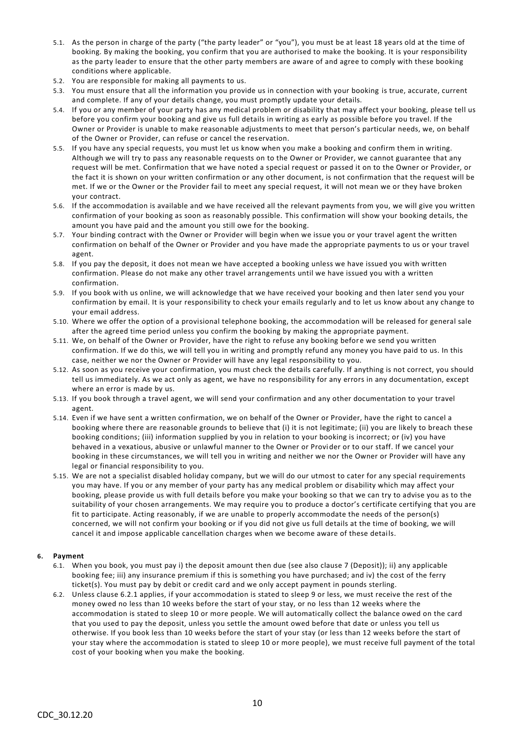- 5.1. As the person in charge of the party ("the party leader" or "you"), you must be at least 18 years old at the time of booking. By making the booking, you confirm that you are authorised to make the booking. It is your responsibility as the party leader to ensure that the other party members are aware of and agree to comply with these booking conditions where applicable.
- 5.2. You are responsible for making all payments to us.
- 5.3. You must ensure that all the information you provide us in connection with your booking is true, accurate, current and complete. If any of your details change, you must promptly update your details.
- 5.4. If you or any member of your party has any medical problem or disability that may affect your booking, please tell us before you confirm your booking and give us full details in writing as early as possible before you travel. If the Owner or Provider is unable to make reasonable adjustments to meet that person's particular needs, we, on behalf of the Owner or Provider, can refuse or cancel the reservation.
- 5.5. If you have any special requests, you must let us know when you make a booking and confirm them in writing. Although we will try to pass any reasonable requests on to the Owner or Provider, we cannot guarantee that any request will be met. Confirmation that we have noted a special request or passed it on to the Owner or Provider, or the fact it is shown on your written confirmation or any other document, is not confirmation that the request will be met. If we or the Owner or the Provider fail to meet any special request, it will not mean we or they have broken your contract.
- 5.6. If the accommodation is available and we have received all the relevant payments from you, we will give you written confirmation of your booking as soon as reasonably possible. This confirmation will show your booking details, the amount you have paid and the amount you still owe for the booking.
- 5.7. Your binding contract with the Owner or Provider will begin when we issue you or your travel agent the written confirmation on behalf of the Owner or Provider and you have made the appropriate payments to us or your travel agent.
- 5.8. If you pay the deposit, it does not mean we have accepted a booking unless we have issued you with written confirmation. Please do not make any other travel arrangements until we have issued you with a written confirmation.
- 5.9. If you book with us online, we will acknowledge that we have received your booking and then later send you your confirmation by email. It is your responsibility to check your emails regularly and to let us know about any change to your email address.
- 5.10. Where we offer the option of a provisional telephone booking, the accommodation will be released for general sale after the agreed time period unless you confirm the booking by making the appropriate payment.
- 5.11. We, on behalf of the Owner or Provider, have the right to refuse any booking before we send you written confirmation. If we do this, we will tell you in writing and promptly refund any money you have paid to us. In this case, neither we nor the Owner or Provider will have any legal responsibility to you.
- 5.12. As soon as you receive your confirmation, you must check the details carefully. If anything is not correct, you should tell us immediately. As we act only as agent, we have no responsibility for any errors in any documentation, except where an error is made by us.
- 5.13. If you book through a travel agent, we will send your confirmation and any other documentation to your travel agent.
- 5.14. Even if we have sent a written confirmation, we on behalf of the Owner or Provider, have the right to cancel a booking where there are reasonable grounds to believe that (i) it is not legitimate; (ii) you are likely to breach these booking conditions; (iii) information supplied by you in relation to your booking is incorrect; or (iv) you have behaved in a vexatious, abusive or unlawful manner to the Owner or Provider or to our staff. If we cancel your booking in these circumstances, we will tell you in writing and neither we nor the Owner or Provider will have any legal or financial responsibility to you.
- 5.15. We are not a specialist disabled holiday company, but we will do our utmost to cater for any special requirements you may have. If you or any member of your party has any medical problem or disability which may affect your booking, please provide us with full details before you make your booking so that we can try to advise you as to the suitability of your chosen arrangements. We may require you to produce a doctor's certificate certifying that you are fit to participate. Acting reasonably, if we are unable to properly accommodate the needs of the person(s) concerned, we will not confirm your booking or if you did not give us full details at the time of booking, we will cancel it and impose applicable cancellation charges when we become aware of these detai ls.

## **6. Payment**

- 6.1. When you book, you must pay i) the deposit amount then due (see also clause 7 (Deposit)); ii) any applicable booking fee; iii) any insurance premium if this is something you have purchased; and iv) the cost of the ferry ticket(s). You must pay by debit or credit card and we only accept payment in pounds sterling.
- 6.2. Unless clause 6.2.1 applies, if your accommodation is stated to sleep 9 or less, we must receive the rest of the money owed no less than 10 weeks before the start of your stay, or no less than 12 weeks where the accommodation is stated to sleep 10 or more people. We will automatically collect the balance owed on the card that you used to pay the deposit, unless you settle the amount owed before that date or unless you tell us otherwise. If you book less than 10 weeks before the start of your stay (or less than 12 weeks before the start of your stay where the accommodation is stated to sleep 10 or more people), we must receive full payment of the total cost of your booking when you make the booking.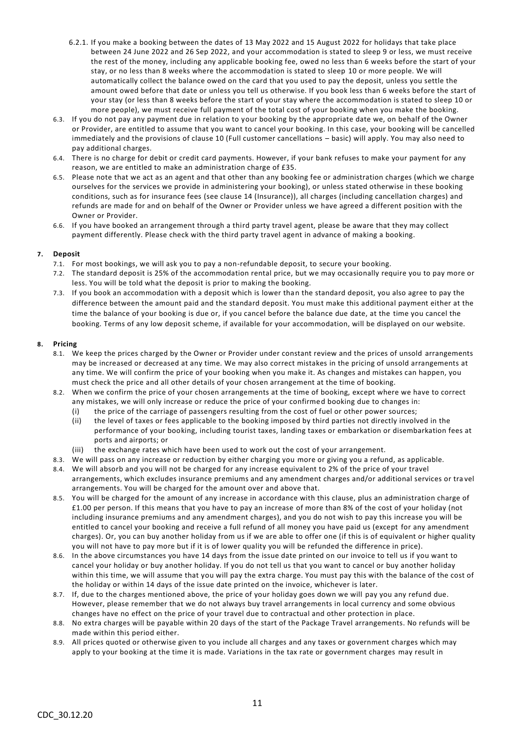- 6.2.1. If you make a booking between the dates of 13 May 2022 and 15 August 2022 for holidays that take place between 24 June 2022 and 26 Sep 2022, and your accommodation is stated to sleep 9 or less, we must receive the rest of the money, including any applicable booking fee, owed no less than 6 weeks before the start of your stay, or no less than 8 weeks where the accommodation is stated to sleep 10 or more people. We will automatically collect the balance owed on the card that you used to pay the deposit, unless you settle the amount owed before that date or unless you tell us otherwise. If you book less than 6 weeks before the start of your stay (or less than 8 weeks before the start of your stay where the accommodation is stated to sleep 10 or more people), we must receive full payment of the total cost of your booking when you make the booking.
- 6.3. If you do not pay any payment due in relation to your booking by the appropriate date we, on behalf of the Owner or Provider, are entitled to assume that you want to cancel your booking. In this case, your booking will be cancelled immediately and the provisions of clause 10 (Full customer cancellations – basic) will apply. You may also need to pay additional charges.
- 6.4. There is no charge for debit or credit card payments. However, if your bank refuses to make your payment for any reason, we are entitled to make an administration charge of £35.
- 6.5. Please note that we act as an agent and that other than any booking fee or administration charges (which we charge ourselves for the services we provide in administering your booking), or unless stated otherwise in these booking conditions, such as for insurance fees (see clause 14 (Insurance)), all charges (including cancellation charges) and refunds are made for and on behalf of the Owner or Provider unless we have agreed a different position with the Owner or Provider.
- 6.6. If you have booked an arrangement through a third party travel agent, please be aware that they may collect payment differently. Please check with the third party travel agent in advance of making a booking.

## **7. Deposit**

- 7.1. For most bookings, we will ask you to pay a non-refundable deposit, to secure your booking.
- 7.2. The standard deposit is 25% of the accommodation rental price, but we may occasionally require you to pay more or less. You will be told what the deposit is prior to making the booking.
- 7.3. If you book an accommodation with a deposit which is lower than the standard deposit, you also agree to pay the difference between the amount paid and the standard deposit. You must make this additional payment either at the time the balance of your booking is due or, if you cancel before the balance due date, at the time you cancel the booking. Terms of any low deposit scheme, if available for your accommodation, will be displayed on our website.

## **8. Pricing**

- 8.1. We keep the prices charged by the Owner or Provider under constant review and the prices of unsold arrangements may be increased or decreased at any time. We may also correct mistakes in the pricing of unsold arrangements at any time. We will confirm the price of your booking when you make it. As changes and mistakes can happen, you must check the price and all other details of your chosen arrangement at the time of booking.
- 8.2. When we confirm the price of your chosen arrangements at the time of booking, except where we have to correct any mistakes, we will only increase or reduce the price of your confirmed booking due to changes in:
	- (i) the price of the carriage of passengers resulting from the cost of fuel or other power sources;
	- (ii) the level of taxes or fees applicable to the booking imposed by third parties not directly involved in the performance of your booking, including tourist taxes, landing taxes or embarkation or disembarkation fees at ports and airports; or
	- (iii) the exchange rates which have been used to work out the cost of your arrangement.
- 8.3. We will pass on any increase or reduction by either charging you more or giving you a refund, as applicable.
- 8.4. We will absorb and you will not be charged for any increase equivalent to 2% of the price of your travel arrangements, which excludes insurance premiums and any amendment charges and/or additional services or tra vel arrangements. You will be charged for the amount over and above that.
- 8.5. You will be charged for the amount of any increase in accordance with this clause, plus an administration charge of £1.00 per person. If this means that you have to pay an increase of more than 8% of the cost of your holiday (not including insurance premiums and any amendment charges), and you do not wish to pay this increase you will be entitled to cancel your booking and receive a full refund of all money you have paid us (except for any amendment charges). Or, you can buy another holiday from us if we are able to offer one (if this is of equivalent or higher quality you will not have to pay more but if it is of lower quality you will be refunded the difference in price).
- 8.6. In the above circumstances you have 14 days from the issue date printed on our invoice to tell us if you want to cancel your holiday or buy another holiday. If you do not tell us that you want to cancel or buy another holiday within this time, we will assume that you will pay the extra charge. You must pay this with the balance of the cost of the holiday or within 14 days of the issue date printed on the invoice, whichever is later.
- 8.7. If, due to the charges mentioned above, the price of your holiday goes down we will pay you any refund due. However, please remember that we do not always buy travel arrangements in local currency and some obvious changes have no effect on the price of your travel due to contractual and other protection in place.
- 8.8. No extra charges will be payable within 20 days of the start of the Package Travel arrangements. No refunds will be made within this period either.
- 8.9. All prices quoted or otherwise given to you include all charges and any taxes or government charges which may apply to your booking at the time it is made. Variations in the tax rate or government charges may result in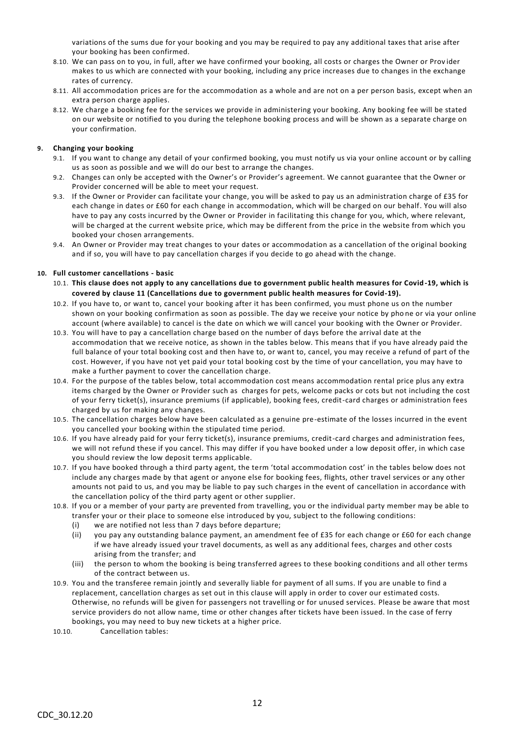variations of the sums due for your booking and you may be required to pay any additional taxes that arise after your booking has been confirmed.

- 8.10. We can pass on to you, in full, after we have confirmed your booking, all costs or charges the Owner or Prov ider makes to us which are connected with your booking, including any price increases due to changes in the exchange rates of currency.
- 8.11. All accommodation prices are for the accommodation as a whole and are not on a per person basis, except when an extra person charge applies.
- 8.12. We charge a booking fee for the services we provide in administering your booking. Any booking fee will be stated on our website or notified to you during the telephone booking process and will be shown as a separate charge on your confirmation.

## **9. Changing your booking**

- 9.1. If you want to change any detail of your confirmed booking, you must notify us via your online account or by calling us as soon as possible and we will do our best to arrange the changes.
- 9.2. Changes can only be accepted with the Owner's or Provider's agreement. We cannot guarantee that the Owner or Provider concerned will be able to meet your request.
- 9.3. If the Owner or Provider can facilitate your change, you will be asked to pay us an administration charge of £35 for each change in dates or £60 for each change in accommodation, which will be charged on our behalf. You will also have to pay any costs incurred by the Owner or Provider in facilitating this change for you, which, where relevant, will be charged at the current website price, which may be different from the price in the website from which you booked your chosen arrangements.
- 9.4. An Owner or Provider may treat changes to your dates or accommodation as a cancellation of the original booking and if so, you will have to pay cancellation charges if you decide to go ahead with the change.

## **10. Full customer cancellations - basic**

- 10.1. **This clause does not apply to any cancellations due to government public health measures for Covid-19, which is covered by clause 11 (Cancellations due to government public health measures for Covid-19).**
- 10.2. If you have to, or want to, cancel your booking after it has been confirmed, you must phone us on the number shown on your booking confirmation as soon as possible. The day we receive your notice by pho ne or via your online account (where available) to cancel is the date on which we will cancel your booking with the Owner or Provider.
- 10.3. You will have to pay a cancellation charge based on the number of days before the arrival date at the accommodation that we receive notice, as shown in the tables below. This means that if you have already paid the full balance of your total booking cost and then have to, or want to, cancel, you may receive a refund of part of the cost. However, if you have not yet paid your total booking cost by the time of your cancellation, you may have to make a further payment to cover the cancellation charge.
- 10.4. For the purpose of the tables below, total accommodation cost means accommodation rental price plus any extra items charged by the Owner or Provider such as charges for pets, welcome packs or cots but not including the cost of your ferry ticket(s), insurance premiums (if applicable), booking fees, credit-card charges or administration fees charged by us for making any changes.
- 10.5. The cancellation charges below have been calculated as a genuine pre-estimate of the losses incurred in the event you cancelled your booking within the stipulated time period.
- 10.6. If you have already paid for your ferry ticket(s), insurance premiums, credit-card charges and administration fees, we will not refund these if you cancel. This may differ if you have booked under a low deposit offer, in which case you should review the low deposit terms applicable.
- 10.7. If you have booked through a third party agent, the term 'total accommodation cost' in the tables below does not include any charges made by that agent or anyone else for booking fees, flights, other travel services or any other amounts not paid to us, and you may be liable to pay such charges in the event of cancellation in accordance with the cancellation policy of the third party agent or other supplier.
- 10.8. If you or a member of your party are prevented from travelling, you or the individual party member may be able to transfer your or their place to someone else introduced by you, subject to the following conditions:
	- (i) we are notified not less than 7 days before departure;
	- (ii) you pay any outstanding balance payment, an amendment fee of £35 for each change or £60 for each change if we have already issued your travel documents, as well as any additional fees, charges and other costs arising from the transfer; and
	- (iii) the person to whom the booking is being transferred agrees to these booking conditions and all other terms of the contract between us.
- 10.9. You and the transferee remain jointly and severally liable for payment of all sums. If you are unable to find a replacement, cancellation charges as set out in this clause will apply in order to cover our estimated costs. Otherwise, no refunds will be given for passengers not travelling or for unused services. Please be aware that most service providers do not allow name, time or other changes after tickets have been issued. In the case of ferry bookings, you may need to buy new tickets at a higher price.
- 10.10. Cancellation tables: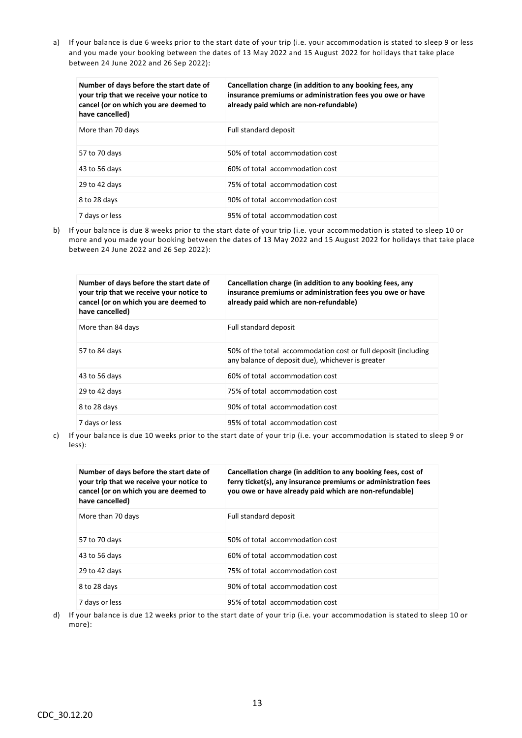a) If your balance is due 6 weeks prior to the start date of your trip (i.e. your accommodation is stated to sleep 9 or less and you made your booking between the dates of 13 May 2022 and 15 August 2022 for holidays that take place between 24 June 2022 and 26 Sep 2022):

| Number of days before the start date of<br>your trip that we receive your notice to<br>cancel (or on which you are deemed to<br>have cancelled) | Cancellation charge (in addition to any booking fees, any<br>insurance premiums or administration fees you owe or have<br>already paid which are non-refundable) |
|-------------------------------------------------------------------------------------------------------------------------------------------------|------------------------------------------------------------------------------------------------------------------------------------------------------------------|
| More than 70 days                                                                                                                               | Full standard deposit                                                                                                                                            |
| 57 to 70 days                                                                                                                                   | 50% of total accommodation cost                                                                                                                                  |
| 43 to 56 days                                                                                                                                   | 60% of total accommodation cost                                                                                                                                  |
| 29 to 42 days                                                                                                                                   | 75% of total accommodation cost                                                                                                                                  |
| 8 to 28 days                                                                                                                                    | 90% of total accommodation cost                                                                                                                                  |
| 7 days or less                                                                                                                                  | 95% of total accommodation cost                                                                                                                                  |

b) If your balance is due 8 weeks prior to the start date of your trip (i.e. your accommodation is stated to sleep 10 or more and you made your booking between the dates of 13 May 2022 and 15 August 2022 for holidays that take place between 24 June 2022 and 26 Sep 2022):

| Number of days before the start date of<br>your trip that we receive your notice to<br>cancel (or on which you are deemed to<br>have cancelled) | Cancellation charge (in addition to any booking fees, any<br>insurance premiums or administration fees you owe or have<br>already paid which are non-refundable) |
|-------------------------------------------------------------------------------------------------------------------------------------------------|------------------------------------------------------------------------------------------------------------------------------------------------------------------|
| More than 84 days                                                                                                                               | Full standard deposit                                                                                                                                            |
| 57 to 84 days                                                                                                                                   | 50% of the total accommodation cost or full deposit (including<br>any balance of deposit due), whichever is greater                                              |
| 43 to 56 days                                                                                                                                   | 60% of total accommodation cost                                                                                                                                  |
| 29 to 42 days                                                                                                                                   | 75% of total accommodation cost                                                                                                                                  |
| 8 to 28 days                                                                                                                                    | 90% of total accommodation cost                                                                                                                                  |
| 7 days or less                                                                                                                                  | 95% of total accommodation cost                                                                                                                                  |

c) If your balance is due 10 weeks prior to the start date of your trip (i.e. your accommodation is stated to sleep 9 or less):

| Number of days before the start date of<br>your trip that we receive your notice to<br>cancel (or on which you are deemed to<br>have cancelled) | Cancellation charge (in addition to any booking fees, cost of<br>ferry ticket(s), any insurance premiums or administration fees<br>you owe or have already paid which are non-refundable) |
|-------------------------------------------------------------------------------------------------------------------------------------------------|-------------------------------------------------------------------------------------------------------------------------------------------------------------------------------------------|
| More than 70 days                                                                                                                               | Full standard deposit                                                                                                                                                                     |
| 57 to 70 days                                                                                                                                   | 50% of total accommodation cost                                                                                                                                                           |
| 43 to 56 days                                                                                                                                   | 60% of total accommodation cost                                                                                                                                                           |
| 29 to 42 days                                                                                                                                   | 75% of total accommodation cost                                                                                                                                                           |
| 8 to 28 days                                                                                                                                    | 90% of total accommodation cost                                                                                                                                                           |
| 7 days or less                                                                                                                                  | 95% of total accommodation cost                                                                                                                                                           |

d) If your balance is due 12 weeks prior to the start date of your trip (i.e. your accommodation is stated to sleep 10 or more):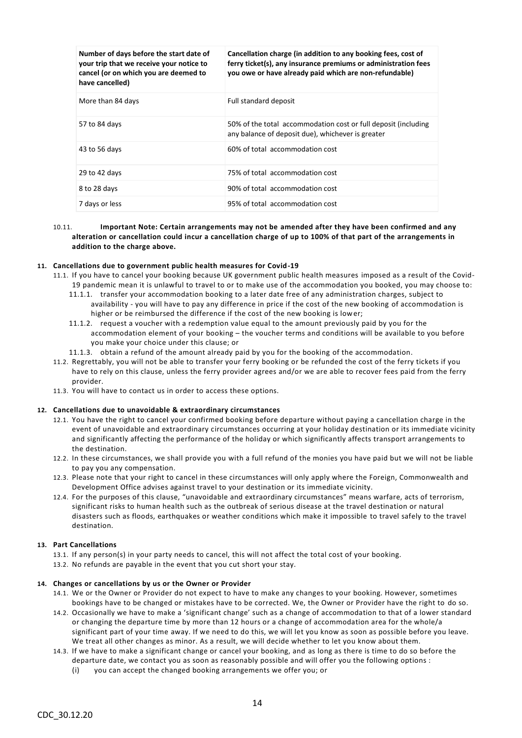| Number of days before the start date of<br>your trip that we receive your notice to<br>cancel (or on which you are deemed to<br>have cancelled) | Cancellation charge (in addition to any booking fees, cost of<br>ferry ticket(s), any insurance premiums or administration fees<br>you owe or have already paid which are non-refundable) |
|-------------------------------------------------------------------------------------------------------------------------------------------------|-------------------------------------------------------------------------------------------------------------------------------------------------------------------------------------------|
| More than 84 days                                                                                                                               | Full standard deposit                                                                                                                                                                     |
| 57 to 84 days                                                                                                                                   | 50% of the total accommodation cost or full deposit (including<br>any balance of deposit due), whichever is greater                                                                       |
| 43 to 56 days                                                                                                                                   | 60% of total accommodation cost                                                                                                                                                           |
| 29 to 42 days                                                                                                                                   | 75% of total accommodation cost                                                                                                                                                           |
| 8 to 28 days                                                                                                                                    | 90% of total accommodation cost                                                                                                                                                           |
| 7 days or less                                                                                                                                  | 95% of total accommodation cost                                                                                                                                                           |

## 10.11. **Important Note: Certain arrangements may not be amended after they have been confirmed and any alteration or cancellation could incur a cancellation charge of up to 100% of that part of the arrangements in addition to the charge above.**

## **11. Cancellations due to government public health measures for Covid-19**

- 11.1. If you have to cancel your booking because UK government public health measures imposed as a result of the Covid-19 pandemic mean it is unlawful to travel to or to make use of the accommodation you booked, you may choose to:
	- 11.1.1. transfer your accommodation booking to a later date free of any administration charges, subject to availability - you will have to pay any difference in price if the cost of the new booking of accommodation is higher or be reimbursed the difference if the cost of the new booking is lower;
	- 11.1.2. request a voucher with a redemption value equal to the amount previously paid by you for the accommodation element of your booking – the voucher terms and conditions will be available to you before you make your choice under this clause; or
	- 11.1.3. obtain a refund of the amount already paid by you for the booking of the accommodation.
- 11.2. Regrettably, you will not be able to transfer your ferry booking or be refunded the cost of the ferry tickets if you have to rely on this clause, unless the ferry provider agrees and/or we are able to recover fees paid from the ferry provider.
- 11.3. You will have to contact us in order to access these options.

## **12. Cancellations due to unavoidable & extraordinary circumstances**

- 12.1. You have the right to cancel your confirmed booking before departure without paying a cancellation charge in the event of unavoidable and extraordinary circumstances occurring at your holiday destination or its immediate vicinity and significantly affecting the performance of the holiday or which significantly affects transport arrangements to the destination.
- 12.2. In these circumstances, we shall provide you with a full refund of the monies you have paid but we will not be liable to pay you any compensation.
- 12.3. Please note that your right to cancel in these circumstances will only apply where the Foreign, Commonwealth and Development Office advises against travel to your destination or its immediate vicinity.
- 12.4. For the purposes of this clause, "unavoidable and extraordinary circumstances" means warfare, acts of terrorism, significant risks to human health such as the outbreak of serious disease at the travel destination or natural disasters such as floods, earthquakes or weather conditions which make it impossible to travel safely to the travel destination.

## **13. Part Cancellations**

- 13.1. If any person(s) in your party needs to cancel, this will not affect the total cost of your booking.
- 13.2. No refunds are payable in the event that you cut short your stay.

## **14. Changes or cancellations by us or the Owner or Provider**

- 14.1. We or the Owner or Provider do not expect to have to make any changes to your booking. However, sometimes bookings have to be changed or mistakes have to be corrected. We, the Owner or Provider have the right to do so.
- 14.2. Occasionally we have to make a 'significant change' such as a change of accommodation to that of a lower standard or changing the departure time by more than 12 hours or a change of accommodation area for the whole/a significant part of your time away. If we need to do this, we will let you know as soon as possible before you leave. We treat all other changes as minor. As a result, we will decide whether to let you know about them.
- 14.3. If we have to make a significant change or cancel your booking, and as long as there is time to do so before the departure date, we contact you as soon as reasonably possible and will offer you the following options :
	- (i) you can accept the changed booking arrangements we offer you; or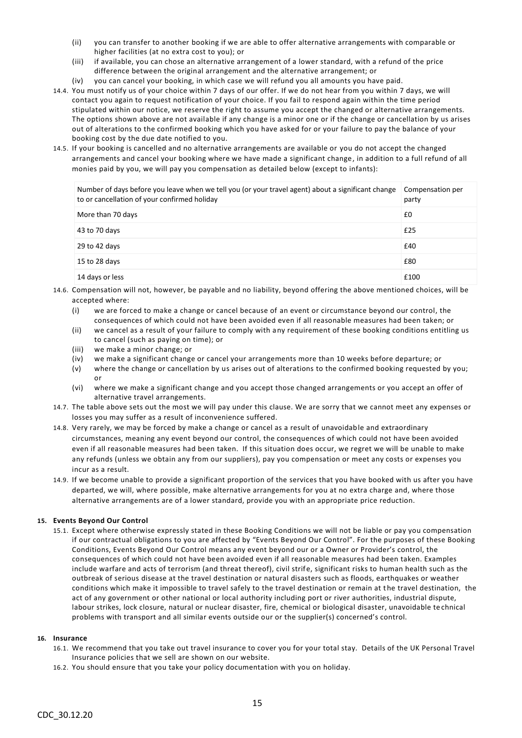- (ii) you can transfer to another booking if we are able to offer alternative arrangements with comparable or higher facilities (at no extra cost to you); or
- (iii) if available, you can chose an alternative arrangement of a lower standard, with a refund of the price difference between the original arrangement and the alternative arrangement; or
- (iv) you can cancel your booking, in which case we will refund you all amounts you have paid.
- 14.4. You must notify us of your choice within 7 days of our offer. If we do not hear from you within 7 days, we will contact you again to request notification of your choice. If you fail to respond again within the time period stipulated within our notice, we reserve the right to assume you accept the changed or alternative arrangements. The options shown above are not available if any change is a minor one or if the change or cancellation by us arises out of alterations to the confirmed booking which you have asked for or your failure to pay the balance of your booking cost by the due date notified to you.
- 14.5. If your booking is cancelled and no alternative arrangements are available or you do not accept the changed arrangements and cancel your booking where we have made a significant change, in addition to a full refund of all monies paid by you, we will pay you compensation as detailed below (except to infants):

| Number of days before you leave when we tell you (or your travel agent) about a significant change<br>to or cancellation of your confirmed holiday | Compensation per<br>party |
|----------------------------------------------------------------------------------------------------------------------------------------------------|---------------------------|
| More than 70 days                                                                                                                                  | £0                        |
| 43 to 70 days                                                                                                                                      | £25                       |
| 29 to 42 days                                                                                                                                      | £40                       |
| 15 to 28 days                                                                                                                                      | £80                       |
| 14 days or less                                                                                                                                    | £100                      |

- 14.6. Compensation will not, however, be payable and no liability, beyond offering the above mentioned choices, will be accepted where:
	- (i) we are forced to make a change or cancel because of an event or circumstance beyond our control, the consequences of which could not have been avoided even if all reasonable measures had been taken; or
	- (ii) we cancel as a result of your failure to comply with any requirement of these booking conditions entitling us to cancel (such as paying on time); or
	- (iii) we make a minor change; or
	- (iv) we make a significant change or cancel your arrangements more than 10 weeks before departure; or
	- (v) where the change or cancellation by us arises out of alterations to the confirmed booking requested by you; or
	- (vi) where we make a significant change and you accept those changed arrangements or you accept an offer of alternative travel arrangements.
- 14.7. The table above sets out the most we will pay under this clause. We are sorry that we cannot meet any expenses or losses you may suffer as a result of inconvenience suffered.
- 14.8. Very rarely, we may be forced by make a change or cancel as a result of unavoidable and extraordinary circumstances, meaning any event beyond our control, the consequences of which could not have been avoided even if all reasonable measures had been taken. If this situation does occur, we regret we will be unable to make any refunds (unless we obtain any from our suppliers), pay you compensation or meet any costs or expenses you incur as a result.
- 14.9. If we become unable to provide a significant proportion of the services that you have booked with us after you have departed, we will, where possible, make alternative arrangements for you at no extra charge and, where those alternative arrangements are of a lower standard, provide you with an appropriate price reduction.

## **15. Events Beyond Our Control**

15.1. Except where otherwise expressly stated in these Booking Conditions we will not be liable or pay you compensation if our contractual obligations to you are affected by "Events Beyond Our Control". For the purposes of these Booking Conditions, Events Beyond Our Control means any event beyond our or a Owner or Provider's control, the consequences of which could not have been avoided even if all reasonable measures had been taken. Examples include warfare and acts of terrorism (and threat thereof), civil strife, significant risks to human health such as the outbreak of serious disease at the travel destination or natural disasters such as floods, earthquakes or weather conditions which make it impossible to travel safely to the travel destination or remain at the travel destination, the act of any government or other national or local authority including port or river authorities, industrial dispute, labour strikes, lock closure, natural or nuclear disaster, fire, chemical or biological disaster, unavoidable te chnical problems with transport and all similar events outside our or the supplier(s) concerned's control.

## **16. Insurance**

- 16.1. We recommend that you take out travel insurance to cover you for your total stay. Details of the UK Personal Travel Insurance policies that we sell are shown on our website.
- 16.2. You should ensure that you take your policy documentation with you on holiday.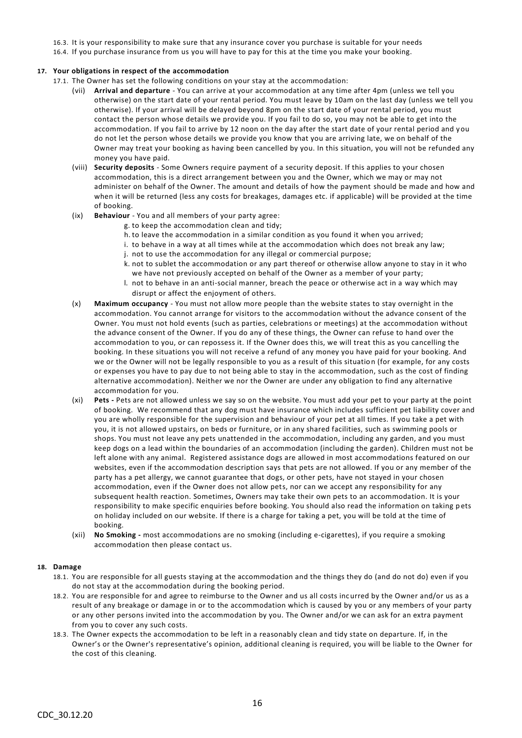- 16.3. It is your responsibility to make sure that any insurance cover you purchase is suitable for your needs
- 16.4. If you purchase insurance from us you will have to pay for this at the time you make your booking.

## **17. Your obligations in respect of the accommodation**

- 17.1. The Owner has set the following conditions on your stay at the accommodation:
	- (vii) **Arrival and departure** You can arrive at your accommodation at any time after 4pm (unless we tell you otherwise) on the start date of your rental period. You must leave by 10am on the last day (unless we tell you otherwise). If your arrival will be delayed beyond 8pm on the start date of your rental period, you must contact the person whose details we provide you. If you fail to do so, you may not be able to get into the accommodation. If you fail to arrive by 12 noon on the day after the start date of your rental period and you do not let the person whose details we provide you know that you are arriving late, we on behalf of the Owner may treat your booking as having been cancelled by you. In this situation, you will not be refunded any money you have paid.
	- (viii) **Security deposits** Some Owners require payment of a security deposit. If this applies to your chosen accommodation, this is a direct arrangement between you and the Owner, which we may or may not administer on behalf of the Owner. The amount and details of how the payment should be made and how and when it will be returned (less any costs for breakages, damages etc. if applicable) will be provided at the time of booking.
	- (ix) **Behaviour** You and all members of your party agree:
		- g. to keep the accommodation clean and tidy;
		- h. to leave the accommodation in a similar condition as you found it when you arrived;
		- i. to behave in a way at all times while at the accommodation which does not break any law;
		- j. not to use the accommodation for any illegal or commercial purpose;
		- k. not to sublet the accommodation or any part thereof or otherwise allow anyone to stay in it who we have not previously accepted on behalf of the Owner as a member of your party;
		- l. not to behave in an anti-social manner, breach the peace or otherwise act in a way which may disrupt or affect the enjoyment of others.
	- (x) **Maximum occupancy** You must not allow more people than the website states to stay overnight in the accommodation. You cannot arrange for visitors to the accommodation without the advance consent of the Owner. You must not hold events (such as parties, celebrations or meetings) at the accommodation without the advance consent of the Owner. If you do any of these things, the Owner can refuse to hand over the accommodation to you, or can repossess it. If the Owner does this, we will treat this as you cancelling the booking. In these situations you will not receive a refund of any money you have paid for your booking. And we or the Owner will not be legally responsible to you as a result of this situation (for example, for any costs or expenses you have to pay due to not being able to stay in the accommodation, such as the cost of finding alternative accommodation). Neither we nor the Owner are under any obligation to find any alternative accommodation for you.
	- (xi) **Pets -** Pets are not allowed unless we say so on the website. You must add your pet to your party at the point of booking. We recommend that any dog must have insurance which includes sufficient pet liability cover and you are wholly responsible for the supervision and behaviour of your pet at all times. If you take a pet with you, it is not allowed upstairs, on beds or furniture, or in any shared facilities, such as swimming pools or shops. You must not leave any pets unattended in the accommodation, including any garden, and you must keep dogs on a lead within the boundaries of an accommodation (including the garden). Children must not be left alone with any animal. Registered assistance dogs are allowed in most accommodations featured on our websites, even if the accommodation description says that pets are not allowed. If you or any member of the party has a pet allergy, we cannot guarantee that dogs, or other pets, have not stayed in your chosen accommodation, even if the Owner does not allow pets, nor can we accept any responsibility for any subsequent health reaction. Sometimes, Owners may take their own pets to an accommodation. It is your responsibility to make specific enquiries before booking. You should also read the information on taking p ets on holiday included on our website. If there is a charge for taking a pet, you will be told at the time of booking.
	- (xii) **No Smoking -** most accommodations are no smoking (including e-cigarettes), if you require a smoking accommodation then please contact us.

## **18. Damage**

- 18.1. You are responsible for all guests staying at the accommodation and the things they do (and do not do) even if you do not stay at the accommodation during the booking period.
- 18.2. You are responsible for and agree to reimburse to the Owner and us all costs incurred by the Owner and/or us as a result of any breakage or damage in or to the accommodation which is caused by you or any members of your party or any other persons invited into the accommodation by you. The Owner and/or we can ask for an extra payment from you to cover any such costs.
- 18.3. The Owner expects the accommodation to be left in a reasonably clean and tidy state on departure. If, in the Owner's or the Owner's representative's opinion, additional cleaning is required, you will be liable to the Owner for the cost of this cleaning.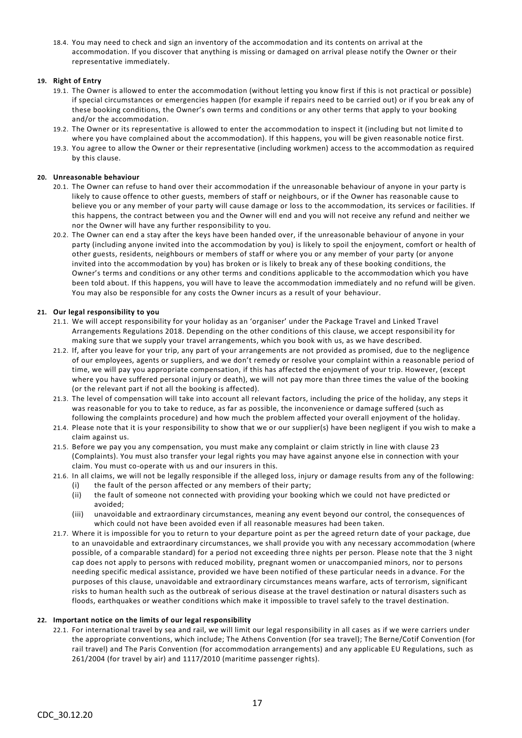18.4. You may need to check and sign an inventory of the accommodation and its contents on arrival at the accommodation. If you discover that anything is missing or damaged on arrival please notify the Owner or their representative immediately.

## **19. Right of Entry**

- 19.1. The Owner is allowed to enter the accommodation (without letting you know first if this is not practical or possible) if special circumstances or emergencies happen (for example if repairs need to be carried out) or if you br eak any of these booking conditions, the Owner's own terms and conditions or any other terms that apply to your booking and/or the accommodation.
- 19.2. The Owner or its representative is allowed to enter the accommodation to inspect it (including but not limite d to where you have complained about the accommodation). If this happens, you will be given reasonable notice first.
- 19.3. You agree to allow the Owner or their representative (including workmen) access to the accommodation as required by this clause.

## **20. Unreasonable behaviour**

- 20.1. The Owner can refuse to hand over their accommodation if the unreasonable behaviour of anyone in your party is likely to cause offence to other guests, members of staff or neighbours, or if the Owner has reasonable cause to believe you or any member of your party will cause damage or loss to the accommodation, its services or facilities. If this happens, the contract between you and the Owner will end and you will not receive any refund and neither we nor the Owner will have any further responsibility to you.
- 20.2. The Owner can end a stay after the keys have been handed over, if the unreasonable behaviour of anyone in your party (including anyone invited into the accommodation by you) is likely to spoil the enjoyment, comfort or health of other guests, residents, neighbours or members of staff or where you or any member of your party (or anyone invited into the accommodation by you) has broken or is likely to break any of these booking conditions, the Owner's terms and conditions or any other terms and conditions applicable to the accommodation which you have been told about. If this happens, you will have to leave the accommodation immediately and no refund will be given. You may also be responsible for any costs the Owner incurs as a result of your behaviour.

## **21. Our legal responsibility to you**

- 21.1. We will accept responsibility for your holiday as an 'organiser' under the Package Travel and Linked Travel Arrangements Regulations 2018. Depending on the other conditions of this clause, we accept responsibil ity for making sure that we supply your travel arrangements, which you book with us, as we have described.
- 21.2. If, after you leave for your trip, any part of your arrangements are not provided as promised, due to the negligence of our employees, agents or suppliers, and we don't remedy or resolve your complaint within a reasonable period of time, we will pay you appropriate compensation, if this has affected the enjoyment of your trip. However, (except where you have suffered personal injury or death), we will not pay more than three times the value of the booking (or the relevant part if not all the booking is affected).
- 21.3. The level of compensation will take into account all relevant factors, including the price of the holiday, any steps it was reasonable for you to take to reduce, as far as possible, the inconvenience or damage suffered (such as following the complaints procedure) and how much the problem affected your overall enjoyment of the holiday.
- 21.4. Please note that it is your responsibility to show that we or our supplier(s) have been negligent if you wish to make a claim against us.
- 21.5. Before we pay you any compensation, you must make any complaint or claim strictly in line with clause 23 (Complaints). You must also transfer your legal rights you may have against anyone else in connection with your claim. You must co-operate with us and our insurers in this.
- 21.6. In all claims, we will not be legally responsible if the alleged loss, injury or damage results from any of the following: (i) the fault of the person affected or any members of their party;
	- (ii) the fault of someone not connected with providing your booking which we could not have predicted or avoided;
	- (iii) unavoidable and extraordinary circumstances, meaning any event beyond our control, the consequences of which could not have been avoided even if all reasonable measures had been taken.
- 21.7. Where it is impossible for you to return to your departure point as per the agreed return date of your package, due to an unavoidable and extraordinary circumstances, we shall provide you with any necessary accommodation (where possible, of a comparable standard) for a period not exceeding three nights per person. Please note that the 3 night cap does not apply to persons with reduced mobility, pregnant women or unaccompanied minors, nor to persons needing specific medical assistance, provided we have been notified of these particular needs in a dvance. For the purposes of this clause, unavoidable and extraordinary circumstances means warfare, acts of terrorism, significant risks to human health such as the outbreak of serious disease at the travel destination or natural disasters such as floods, earthquakes or weather conditions which make it impossible to travel safely to the travel destination.

## **22. Important notice on the limits of our legal responsibility**

22.1. For international travel by sea and rail, we will limit our legal responsibility in all cases as if we were carriers under the appropriate conventions, which include; The Athens Convention (for sea travel); The Berne/Cotif Convention (for rail travel) and The Paris Convention (for accommodation arrangements) and any applicable EU Regulations, such as 261/2004 (for travel by air) and 1117/2010 (maritime passenger rights).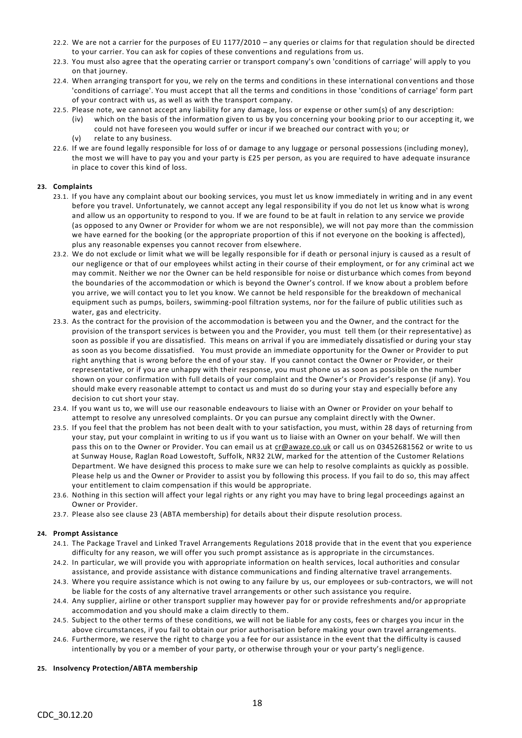- 22.2. We are not a carrier for the purposes of EU 1177/2010 any queries or claims for that regulation should be directed to your carrier. You can ask for copies of these conventions and regulations from us.
- 22.3. You must also agree that the operating carrier or transport company's own 'conditions of carriage' will apply to you on that journey.
- 22.4. When arranging transport for you, we rely on the terms and conditions in these international conventions and those 'conditions of carriage'. You must accept that all the terms and conditions in those 'conditions of carriage' form part of your contract with us, as well as with the transport company.
- 22.5. Please note, we cannot accept any liability for any damage, loss or expense or other sum(s) of any description:
	- (iv) which on the basis of the information given to us by you concerning your booking prior to our accepting it, we could not have foreseen you would suffer or incur if we breached our contract with yo u; or
	- (v) relate to any business.
- 22.6. If we are found legally responsible for loss of or damage to any luggage or personal possessions (including money), the most we will have to pay you and your party is £25 per person, as you are required to have adequate insurance in place to cover this kind of loss.

## **23. Complaints**

- 23.1. If you have any complaint about our booking services, you must let us know immediately in writing and in any event before you travel. Unfortunately, we cannot accept any legal responsibility if you do not let us know what is wrong and allow us an opportunity to respond to you. If we are found to be at fault in relation to any service we provide (as opposed to any Owner or Provider for whom we are not responsible), we will not pay more than the commission we have earned for the booking (or the appropriate proportion of this if not everyone on the booking is affected), plus any reasonable expenses you cannot recover from elsewhere.
- 23.2. We do not exclude or limit what we will be legally responsible for if death or personal injury is caused as a result of our negligence or that of our employees whilst acting in their course of their employment, or for any criminal act we may commit. Neither we nor the Owner can be held responsible for noise or disturbance which comes from beyond the boundaries of the accommodation or which is beyond the Owner's control. If we know about a problem before you arrive, we will contact you to let you know. We cannot be held responsible for the breakdown of mechanical equipment such as pumps, boilers, swimming-pool filtration systems, nor for the failure of public utilities such as water, gas and electricity.
- 23.3. As the contract for the provision of the accommodation is between you and the Owner, and the contract for the provision of the transport services is between you and the Provider, you must tell them (or their representative) as soon as possible if you are dissatisfied. This means on arrival if you are immediately dissatisfied or during your stay as soon as you become dissatisfied. You must provide an immediate opportunity for the Owner or Provider to put right anything that is wrong before the end of your stay. If you cannot contact the Owner or Provider, or their representative, or if you are unhappy with their response, you must phone us as soon as possible on the number shown on your confirmation with full details of your complaint and the Owner's or Provider's response (if any). You should make every reasonable attempt to contact us and must do so during your stay and especially before any decision to cut short your stay.
- 23.4. If you want us to, we will use our reasonable endeavours to liaise with an Owner or Provider on your behalf to attempt to resolve any unresolved complaints. Or you can pursue any complaint directly with the Owner.
- 23.5. If you feel that the problem has not been dealt with to your satisfaction, you must, within 28 days of returning from your stay, put your complaint in writing to us if you want us to liaise with an Owner on your behalf. We will then pass this on to the Owner or Provider. You can email us at [cr@awaze.co.uk](mailto:cr@awaze.co.uk) or call us on 03452681562 or write to us at Sunway House, Raglan Road Lowestoft, Suffolk, NR32 2LW, marked for the attention of the Customer Relations Department. We have designed this process to make sure we can help to resolve complaints as quickly as possible. Please help us and the Owner or Provider to assist you by following this process. If you fail to do so, this may affect your entitlement to claim compensation if this would be appropriate.
- 23.6. Nothing in this section will affect your legal rights or any right you may have to bring legal proceedings against an Owner or Provider.
- 23.7. Please also see clause 23 (ABTA membership) for details about their dispute resolution process.

## **24. Prompt Assistance**

- 24.1. The Package Travel and Linked Travel Arrangements Regulations 2018 provide that in the event that you experience difficulty for any reason, we will offer you such prompt assistance as is appropriate in the circumstances.
- 24.2. In particular, we will provide you with appropriate information on health services, local authorities and consular assistance, and provide assistance with distance communications and finding alternative travel arrangements.
- 24.3. Where you require assistance which is not owing to any failure by us, our employees or sub-contractors, we will not be liable for the costs of any alternative travel arrangements or other such assistance you require.
- 24.4. Any supplier, airline or other transport supplier may however pay for or provide refreshments and/or ap propriate accommodation and you should make a claim directly to them.
- 24.5. Subject to the other terms of these conditions, we will not be liable for any costs, fees or charges you incur in the above circumstances, if you fail to obtain our prior authorisation before making your own travel arrangements.
- 24.6. Furthermore, we reserve the right to charge you a fee for our assistance in the event that the difficulty is caused intentionally by you or a member of your party, or otherwise through your or your party's negli gence.

## **25. Insolvency Protection/ABTA membership**